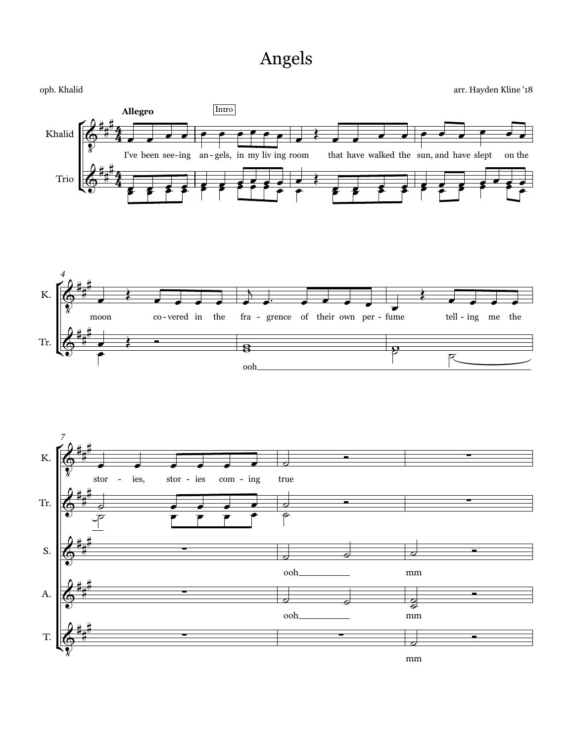## Angels





 $mm$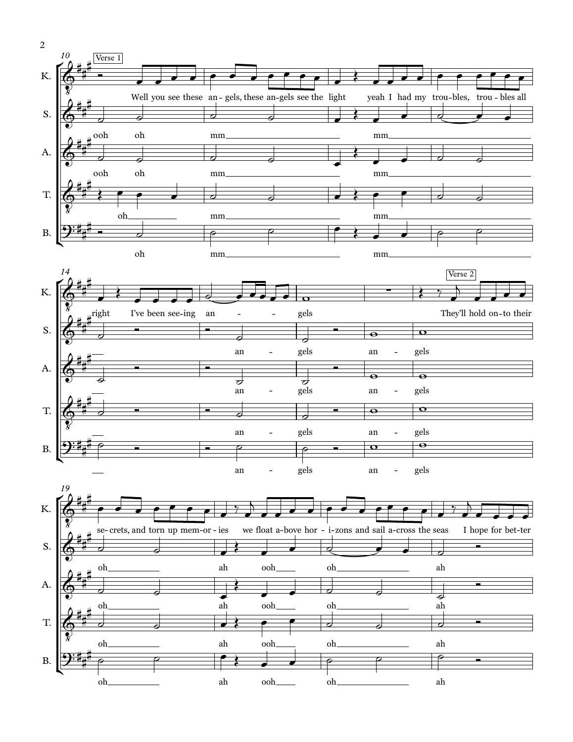



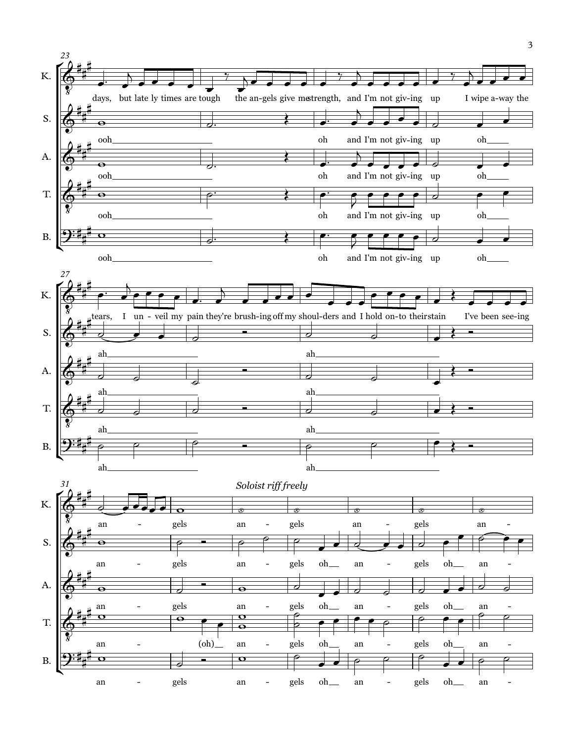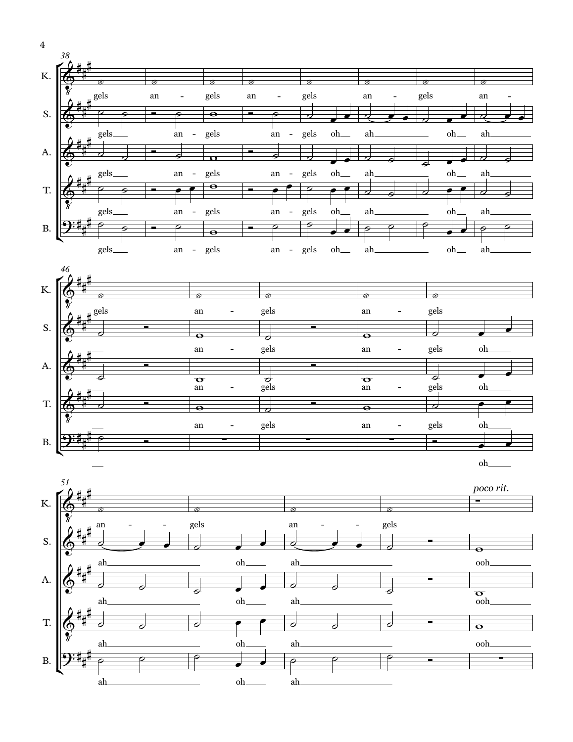